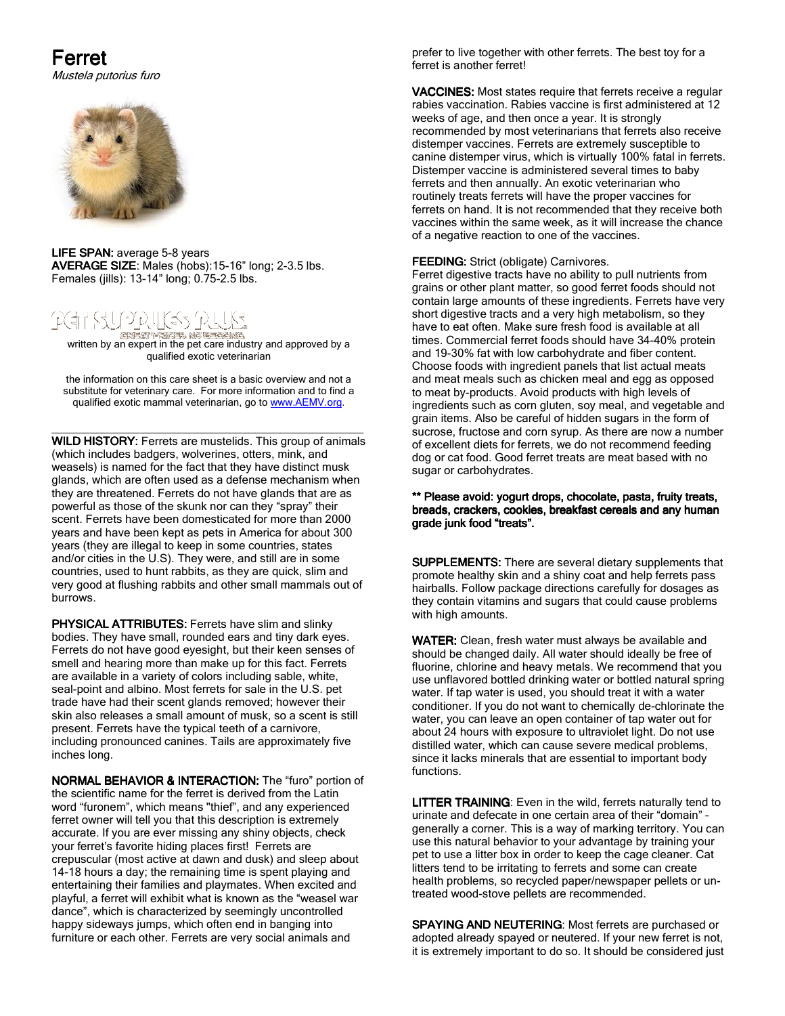# Ferret

Mustela putorius furo



LIFE SPAN: average 5-8 years AVERAGE SIZE: Males (hobs):15-16" long; 2-3.5 lbs. Females (jills): 13-14" long; 0.75-2.5 lbs.



**জসনকা দামওক এক চেন্টে কেন্দ্ৰে কেন্দ্ৰে কেন্দ্ৰে কেন্দ্ৰে কেন্দ্ৰে কেন্দ্ৰে কেন্দ্ৰে কেন্দ্ৰে বিষ**<br>A written by an expert in the pet care industry and approved by a qualified exotic veterinarian

the information on this care sheet is a basic overview and not a substitute for veterinary care. For more information and to find a qualified exotic mammal veterinarian, go to www.AEMV.org.

\_\_\_\_\_\_\_\_\_\_\_\_\_\_\_\_\_\_\_\_\_\_\_\_\_\_\_\_\_\_\_\_\_\_\_\_\_\_\_\_\_\_\_\_\_\_\_\_\_ WILD HISTORY: Ferrets are mustelids. This group of animals (which includes badgers, wolverines, otters, mink, and weasels) is named for the fact that they have distinct musk glands, which are often used as a defense mechanism when they are threatened. Ferrets do not have glands that are as powerful as those of the skunk nor can they "spray" their scent. Ferrets have been domesticated for more than 2000 years and have been kept as pets in America for about 300 years (they are illegal to keep in some countries, states and/or cities in the U.S). They were, and still are in some countries, used to hunt rabbits, as they are quick, slim and very good at flushing rabbits and other small mammals out of burrows.

PHYSICAL ATTRIBUTES: Ferrets have slim and slinky bodies. They have small, rounded ears and tiny dark eyes. Ferrets do not have good eyesight, but their keen senses of smell and hearing more than make up for this fact. Ferrets are available in a variety of colors including sable, white, seal-point and albino. Most ferrets for sale in the U.S. pet trade have had their scent glands removed; however their skin also releases a small amount of musk, so a scent is still present. Ferrets have the typical teeth of a carnivore, including pronounced canines. Tails are approximately five inches long.

NORMAL BEHAVIOR & INTERACTION: The "furo" portion of the scientific name for the ferret is derived from the Latin word "furonem", which means "thief", and any experienced ferret owner will tell you that this description is extremely accurate. If you are ever missing any shiny objects, check your ferret's favorite hiding places first! Ferrets are crepuscular (most active at dawn and dusk) and sleep about 14-18 hours a day; the remaining time is spent playing and entertaining their families and playmates. When excited and playful, a ferret will exhibit what is known as the "weasel war dance", which is characterized by seemingly uncontrolled happy sideways jumps, which often end in banging into furniture or each other. Ferrets are very social animals and

prefer to live together with other ferrets. The best toy for a ferret is another ferret!

VACCINES: Most states require that ferrets receive a regular rabies vaccination. Rabies vaccine is first administered at 12 weeks of age, and then once a year. It is strongly recommended by most veterinarians that ferrets also receive distemper vaccines. Ferrets are extremely susceptible to canine distemper virus, which is virtually 100% fatal in ferrets. Distemper vaccine is administered several times to baby ferrets and then annually. An exotic veterinarian who routinely treats ferrets will have the proper vaccines for ferrets on hand. It is not recommended that they receive both vaccines within the same week, as it will increase the chance of a negative reaction to one of the vaccines.

### FEEDING: Strict (obligate) Carnivores.

Ferret digestive tracts have no ability to pull nutrients from grains or other plant matter, so good ferret foods should not contain large amounts of these ingredients. Ferrets have very short digestive tracts and a very high metabolism, so they have to eat often. Make sure fresh food is available at all times. Commercial ferret foods should have 34-40% protein and 19-30% fat with low carbohydrate and fiber content. Choose foods with ingredient panels that list actual meats and meat meals such as chicken meal and egg as opposed to meat by-products. Avoid products with high levels of ingredients such as corn gluten, soy meal, and vegetable and grain items. Also be careful of hidden sugars in the form of sucrose, fructose and corn syrup. As there are now a number of excellent diets for ferrets, we do not recommend feeding dog or cat food. Good ferret treats are meat based with no sugar or carbohydrates.

#### \*\* Please avoid: yogurt drops, chocolate, pasta, fruity treats, breads, crackers, cookies, breakfast cereals and any human grade junk food "treats".

SUPPLEMENTS: There are several dietary supplements that promote healthy skin and a shiny coat and help ferrets pass hairballs. Follow package directions carefully for dosages as they contain vitamins and sugars that could cause problems with high amounts.

WATER: Clean, fresh water must always be available and should be changed daily. All water should ideally be free of fluorine, chlorine and heavy metals. We recommend that you use unflavored bottled drinking water or bottled natural spring water. If tap water is used, you should treat it with a water conditioner. If you do not want to chemically de-chlorinate the water, you can leave an open container of tap water out for about 24 hours with exposure to ultraviolet light. Do not use distilled water, which can cause severe medical problems, since it lacks minerals that are essential to important body functions.

LITTER TRAINING: Even in the wild, ferrets naturally tend to urinate and defecate in one certain area of their "domain" – generally a corner. This is a way of marking territory. You can use this natural behavior to your advantage by training your pet to use a litter box in order to keep the cage cleaner. Cat litters tend to be irritating to ferrets and some can create health problems, so recycled paper/newspaper pellets or untreated wood-stove pellets are recommended.

SPAYING AND NEUTERING: Most ferrets are purchased or adopted already spayed or neutered. If your new ferret is not, it is extremely important to do so. It should be considered just